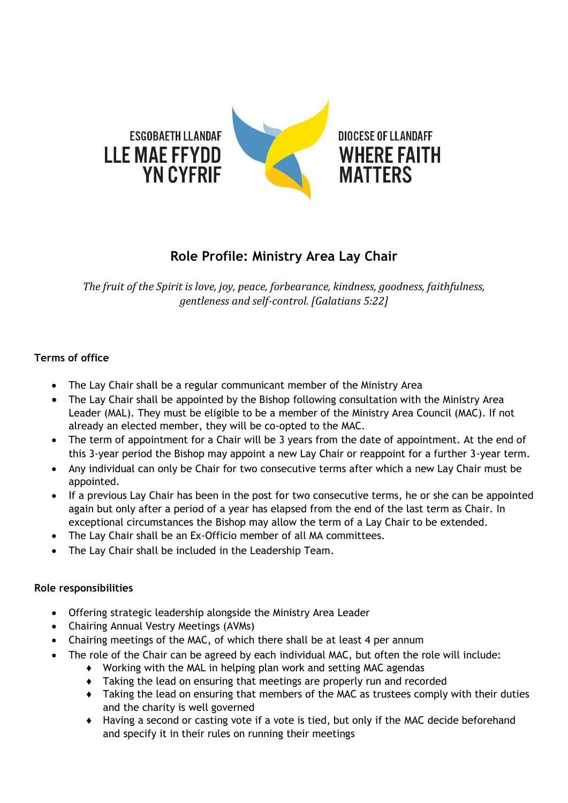

## **Role Profile: Ministry Area Lay Chair**

*The fruit of the Spirit is love, joy, peace, forbearance, kindness, goodness, faithfulness, gentleness and self-control. [Galatians 5:22]*

## **Terms of office**

- The Lay Chair shall be a regular communicant member of the Ministry Area
- The Lay Chair shall be appointed by the Bishop following consultation with the Ministry Area Leader (MAL). They must be eligible to be a member of the Ministry Area Council (MAC). If not already an elected member, they will be co-opted to the MAC.
- The term of appointment for a Chair will be 3 years from the date of appointment. At the end of this 3-year period the Bishop may appoint a new Lay Chair or reappoint for a further 3-year term.
- Any individual can only be Chair for two consecutive terms after which a new Lay Chair must be appointed.
- If a previous Lay Chair has been in the post for two consecutive terms, he or she can be appointed again but only after a period of a year has elapsed from the end of the last term as Chair. In exceptional circumstances the Bishop may allow the term of a Lay Chair to be extended.
- The Lay Chair shall be an Ex-Officio member of all MA committees.
- The Lay Chair shall be included in the Leadership Team.

## **Role responsibilities**

- Offering strategic leadership alongside the Ministry Area Leader
- Chairing Annual Vestry Meetings (AVMs)
- Chairing meetings of the MAC, of which there shall be at least 4 per annum
- The role of the Chair can be agreed by each individual MAC, but often the role will include:
	- ♦ Working with the MAL in helping plan work and setting MAC agendas
	- ♦ Taking the lead on ensuring that meetings are properly run and recorded
	- ♦ Taking the lead on ensuring that members of the MAC as trustees comply with their duties and the charity is well governed
	- ♦ Having a second or casting vote if a vote is tied, but only if the MAC decide beforehand and specify it in their rules on running their meetings